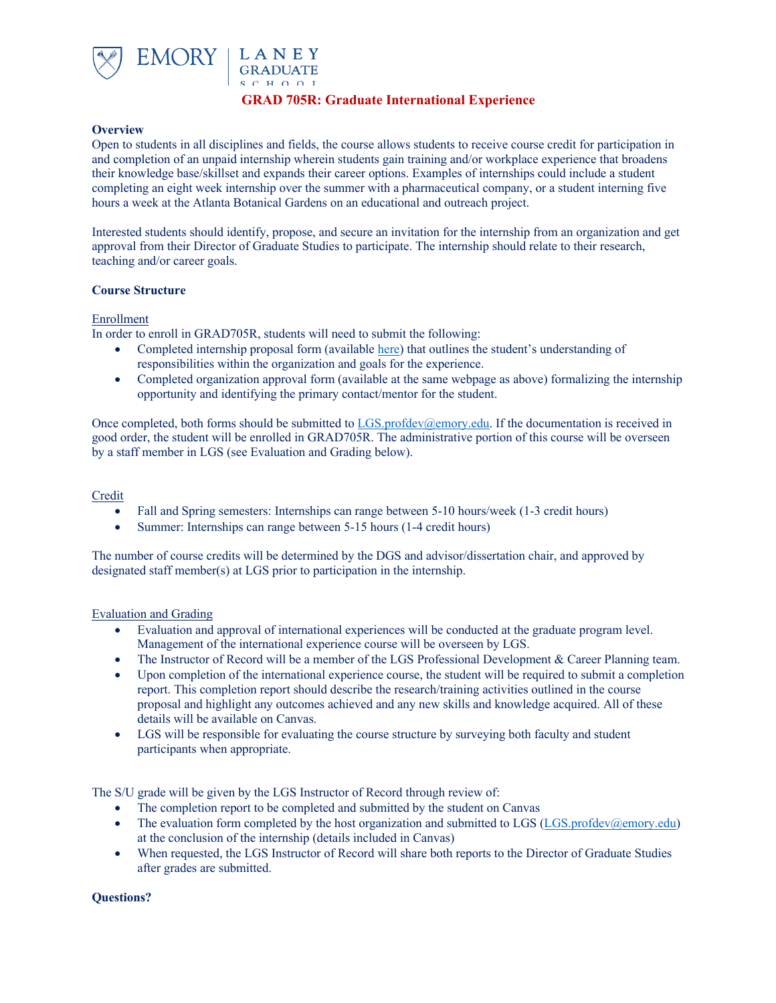

# **GRAD 705R: Graduate International Experience**

#### **Overview**

Open to students in all disciplines and fields, the course allows students to receive course credit for participation in and completion of an unpaid internship wherein students gain training and/or workplace experience that broadens their knowledge base/skillset and expands their career options. Examples of internships could include a student completing an eight week internship over the summer with a pharmaceutical company, or a student interning five hours a week at the Atlanta Botanical Gardens on an educational and outreach project.

Interested students should identify, propose, and secure an invitation for the internship from an organization and get approval from their Director of Graduate Studies to participate. The internship should relate to their research, teaching and/or career goals.

#### **Course Structure**

#### Enrollment

In order to enroll in GRAD705R, students will need to submit the following:

- Completed internship proposal form (available here) that outlines the student's understanding of responsibilities within the organization and goals for the experience.
- Completed organization approval form (available at the same webpage as above) formalizing the internship opportunity and identifying the primary contact/mentor for the student.

Once completed, both forms should be submitted to LGS.profdev@emory.edu. If the documentation is received in good order, the student will be enrolled in GRAD705R. The administrative portion of this course will be overseen by a staff member in LGS (see Evaluation and Grading below).

### Credit

- Fall and Spring semesters: Internships can range between 5-10 hours/week (1-3 credit hours)
- Summer: Internships can range between 5-15 hours (1-4 credit hours)

The number of course credits will be determined by the DGS and advisor/dissertation chair, and approved by designated staff member(s) at LGS prior to participation in the internship.

#### Evaluation and Grading

- Evaluation and approval of international experiences will be conducted at the graduate program level. Management of the international experience course will be overseen by LGS.
- The Instructor of Record will be a member of the LGS Professional Development & Career Planning team.
- Upon completion of the international experience course, the student will be required to submit a completion report. This completion report should describe the research/training activities outlined in the course proposal and highlight any outcomes achieved and any new skills and knowledge acquired. All of these details will be available on Canvas.
- LGS will be responsible for evaluating the course structure by surveying both faculty and student participants when appropriate.

The S/U grade will be given by the LGS Instructor of Record through review of:

- The completion report to be completed and submitted by the student on Canvas
- The evaluation form completed by the host organization and submitted to LGS (LGS.profdev@emory.edu) at the conclusion of the internship (details included in Canvas)
- When requested, the LGS Instructor of Record will share both reports to the Director of Graduate Studies after grades are submitted.

# **Questions?**